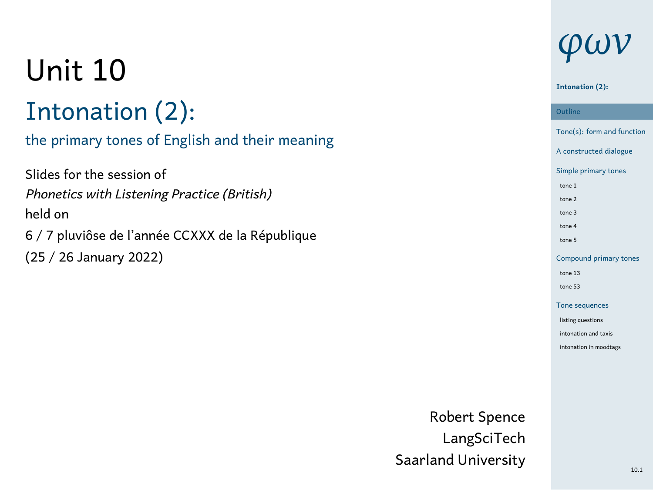# Unit 10

# Intonation (2):

### the primary tones of English and their meaning

Slides for the session of *Phonetics with Listening Practice (British)* held on 6 / 7 pluviôse de l'année CCXXX de la République (25 / 26 January 2022)

# *φων*

#### **Intonation (2):**

Outline<br>Tone(s): form and function **Outline** A constructed dialogue Simple primary tones tone 1 tone 2 tone 3 tone 4 tone 5 Compound prin tone 13 tone 53 Tone sequences listing questions intonation and taxis intonation in moodtags

Robert Spence LangSciTech Saarland University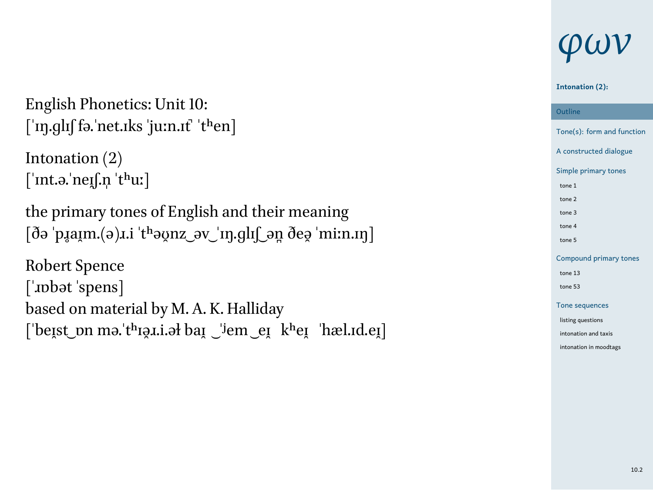English Phonetics: Unit 10:  $\lceil$ 'n $.$ glɪʃ fə.'net.ɪks 'juːn.ɪt' 'tʰen]

Intonation (2) [ˈɪnt.ə.ˈneɪ̯ʃ.n̩ ˈtʰuː]

the primary tones of English and their meaning  $[\eth$ ə ˈp̥ $\mathfrak{a}\mathfrak{x}$ m.(ə) $\mathfrak{a}\mathfrak{a}$  ˈtʰə $\mathfrak{a}\mathfrak{v}$ zəv ˈɪŋ.ɡlɪʃ ən̪ ðeə̯ ˈmiːn.ɪŋ]

Robert Spence [ˈɹɒbət ˈspens] based on material by M. A. K. Halliday [ˈbeɪ̯st ͜ ɒn mə.ˈtʰɪə̯ɹ.i.əɫ baɪ̯ ͜ ˈʲem ͜ eɪ̯ kʰeɪ̯ ˈhæl.ɪd.eɪ̯]

# *φων*

#### **Intonation (2): Outline**

Outline<br>Tone(s): form and function A constructed dialogue Simple primary tones tone 1 tone 2 tone 3 tone 4 tone 5 Compound pri tone 13 tone 53 Tone sequ listing questions intonation and taxis intonation in moodtags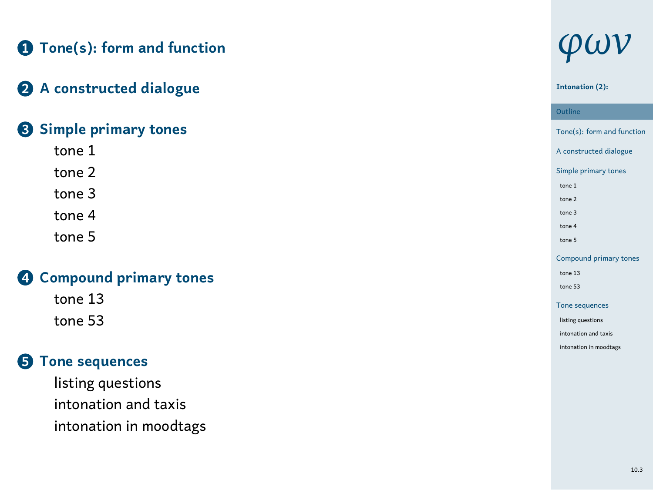### **1 Tone(s): form and function**

### **2 A constructed dialogue**

### **3 Simple primary tones**

- tone 1 tone 2 tone 3
- tone 4 tone 5

## **4 Compound primary tones**

tone 13 tone 53

### **5 Tone sequences**

listing questions intonation and taxis intonation in moodtags

# *φων*

#### **Intonation (2):**

Outline<br>Tone(s): form and function **Outline** A constructed dialogue Simple primary tones tone 1 tone 2 tone 3 tone 4 tone 5 Compound primary tones tone 13 tone 53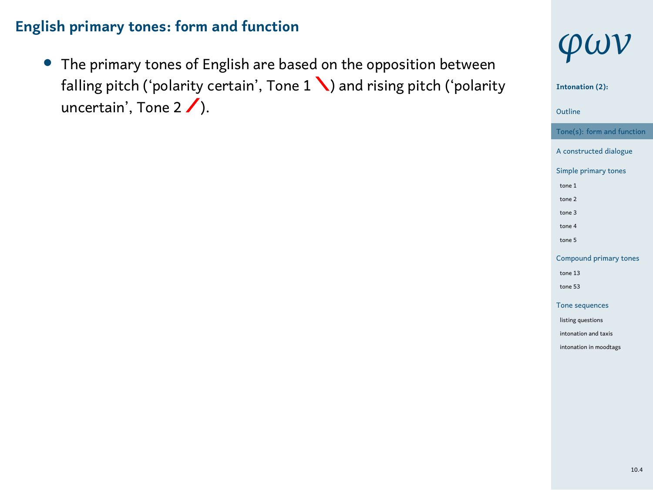*•* The primary tones of English are based on the opposition between falling pitch ('polarity certain', Tone  $1 \setminus$ ) and rising pitch ('polarity uncertain', Tone  $2 / \Lambda$ .



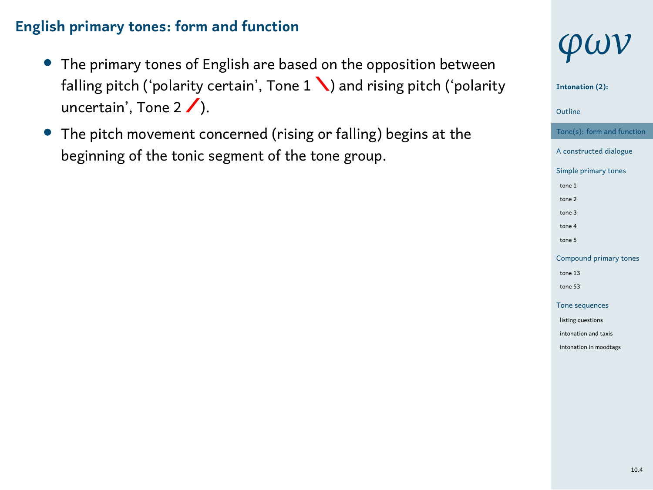- *•* The primary tones of English are based on the opposition between falling pitch ('polarity certain', Tone  $1 \setminus$ ) and rising pitch ('polarity uncertain', Tone  $2 / \Lambda$ .
- *•* The pitch movement concerned (rising or falling) begins at the beginning of the tonic segment of the tone group.



**Intonation (2):**



tone 1 tone 2 tone 3 tone 4 tone 5 Compound prin tone 13 tone 53 Tone seque listing questions intonation and taxis intonation in moodtags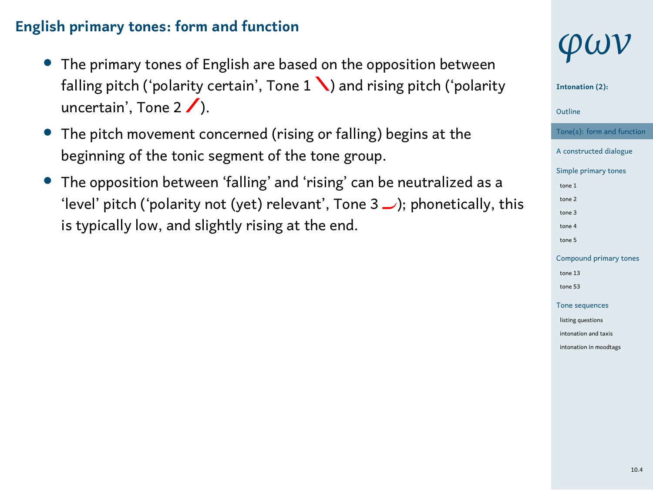- *•* The primary tones of English are based on the opposition between falling pitch ('polarity certain', Tone  $1 \setminus$ ) and rising pitch ('polarity uncertain', Tone  $2 / \Lambda$ .
- *•* The pitch movement concerned (rising or falling) begins at the beginning of the tonic segment of the tone group.
- *•* The opposition between 'falling' and 'rising' can be neutralized as a 'level' pitch ('polarity not (yet) relevant', Tone  $3 \cup$ ); phonetically, this is typically low, and slightly rising at the end.







tone 13 tone 53 Tone sequ listing questions nation and taxis intonation in moodta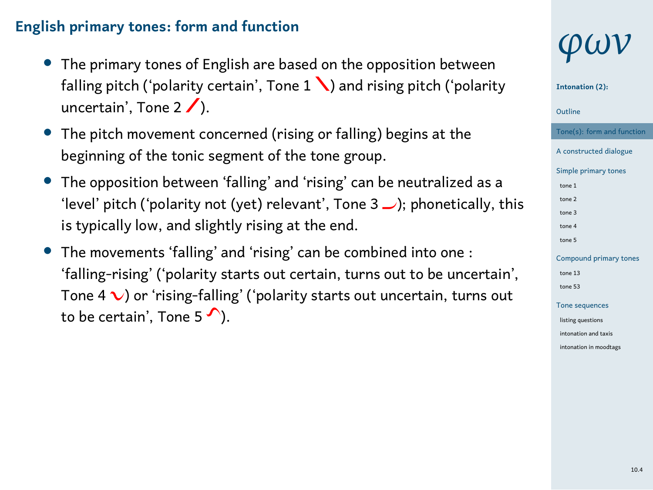- *•* The primary tones of English are based on the opposition between falling pitch ('polarity certain', Tone  $1 \setminus$ ) and rising pitch ('polarity uncertain', Tone  $2 / \Lambda$ .
- *•* The pitch movement concerned (rising or falling) begins at the beginning of the tonic segment of the tone group.
- *•* The opposition between 'falling' and 'rising' can be neutralized as a 'level' pitch ('polarity not (yet) relevant', Tone  $3 \cup$ ); phonetically, this is typically low, and slightly rising at the end.
- *•* The movements 'falling' and 'rising' can be combined into one : 'falling-rising' ('polarity starts out certain, turns out to be uncertain', Tone 4  $\vee$ ) or 'rising-falling' ('polarity starts out uncertain, turns out to be certain', Tone 5  $\curvearrowleft$ ).

# *φων*

#### **Intonation (2):**



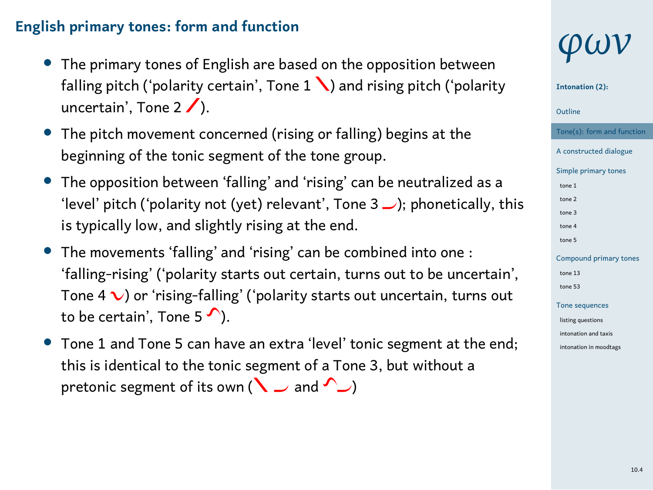- *•* The primary tones of English are based on the opposition between falling pitch ('polarity certain', Tone  $1 \setminus$ ) and rising pitch ('polarity uncertain', Tone  $2 / \Lambda$ .
- *•* The pitch movement concerned (rising or falling) begins at the beginning of the tonic segment of the tone group.
- *•* The opposition between 'falling' and 'rising' can be neutralized as a 'level' pitch ('polarity not (yet) relevant', Tone  $3 \cup$ ); phonetically, this is typically low, and slightly rising at the end.
- *•* The movements 'falling' and 'rising' can be combined into one : 'falling-rising' ('polarity starts out certain, turns out to be uncertain', Tone  $4\sqrt{ }$ ) or 'rising-falling' ('polarity starts out uncertain, turns out to be certain', Tone 5  $\curvearrowleft$ ).
- *•* Tone 1 and Tone 5 can have an extra 'level' tonic segment at the end; this is identical to the tonic segment of a Tone 3, but without a pretonic segment of its own ( $\searrow$  and  $\searrow$ )

# *φων*



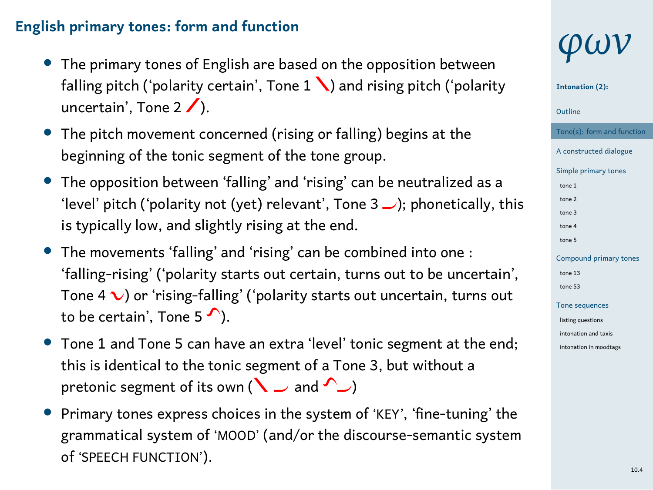- *•* The primary tones of English are based on the opposition between falling pitch ('polarity certain', Tone  $1 \setminus$ ) and rising pitch ('polarity uncertain', Tone  $2 / \Lambda$ .
- *•* The pitch movement concerned (rising or falling) begins at the beginning of the tonic segment of the tone group.
- *•* The opposition between 'falling' and 'rising' can be neutralized as a 'level' pitch ('polarity not (yet) relevant', Tone  $3 \cup$ ); phonetically, this is typically low, and slightly rising at the end.
- *•* The movements 'falling' and 'rising' can be combined into one : 'falling-rising' ('polarity starts out certain, turns out to be uncertain', Tone  $4\sqrt{ }$ ) or 'rising-falling' ('polarity starts out uncertain, turns out to be certain', Tone 5  $\curvearrowleft$ ).
- *•* Tone 1 and Tone 5 can have an extra 'level' tonic segment at the end; this is identical to the tonic segment of a Tone 3, but without a pretonic segment of its own ( $\searrow$  and  $\searrow$ )
- *•* Primary tones express choices in the system of 'KEY', 'fine-tuning' the grammatical system of 'MOOD' (and/or the discourse-semantic system of 'SPEECH FUNCTION').





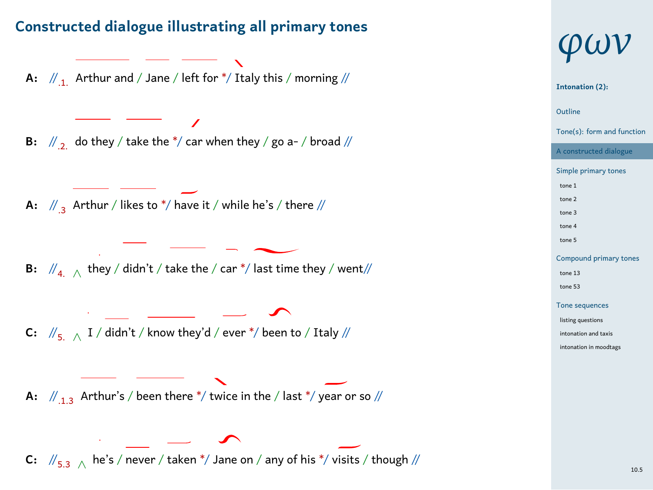### **Constructed dialogue illustrating all primary tones**



# *φων* 1 Outline **Intonation (2):** Tone(s): form and function A constructed dialog Simple primary tones tone 1 tone 2 tone 3 tone 4 tone 5 Compound primary tones tone 13 tone 53 Tone sequence listing questions intonation and taxis intonation in moodtags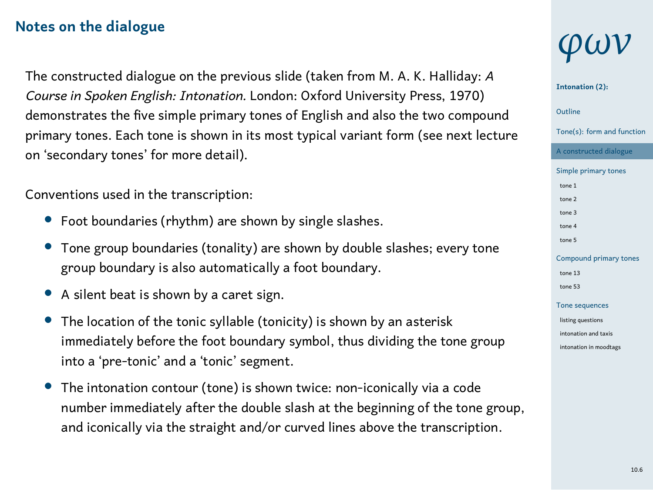#### **Notes on the dialogue**

The constructed dialogue on the previous slide (taken from M. A. K. Halliday: *A Course in Spoken English: Intonation.* London: Oxford University Press, 1970) demonstrates the five simple primary tones of English and also the two compound primary tones. Each tone is shown in its most typical variant form (see next lecture on 'secondary tones' for more detail).

Conventions used in the transcription:

- *•* Foot boundaries (rhythm) are shown by single slashes.
- *•* Tone group boundaries (tonality) are shown by double slashes; every tone group boundary is also automatically a foot boundary.
- *•* A silent beat is shown by a caret sign.
- *•* The location of the tonic syllable (tonicity) is shown by an asterisk immediately before the foot boundary symbol, thus dividing the tone group into a 'pre-tonic' and a 'tonic' segment.
- *•* The intonation contour (tone) is shown twice: non-iconically via a code number immediately after the double slash at the beginning of the tone group, and iconically via the straight and/or curved lines above the transcription.

# *φων*



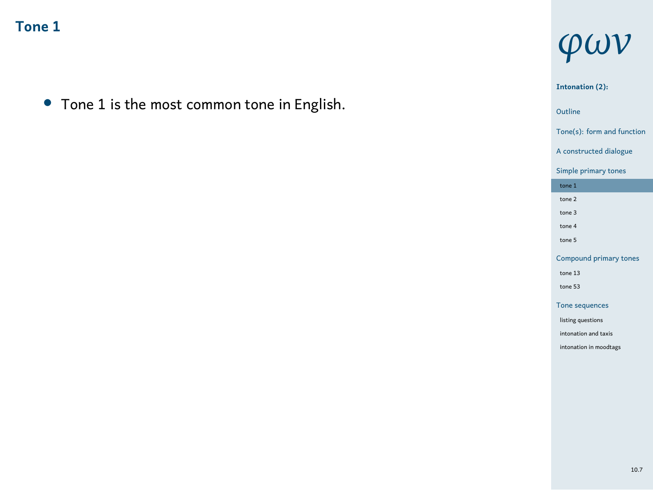*•* Tone 1 is the most common tone in English.

# *φων*

1 Outline **Intonation (2):** Tone(s): form and function A constructed dialogue Simple primary tones tone 1 tone 2 tone 3 tone 4 tone 5 Compound primary tones tone 13 tone 53 Tone sequences listing questions intonation and taxis intonation in moodtags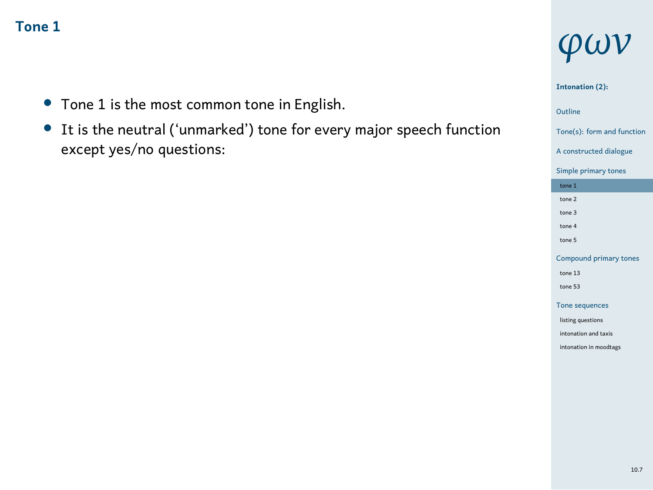- *•* Tone 1 is the most common tone in English.
- *•* It is the neutral ('unmarked') tone for every major speech function except yes/no questions:

# *φων*

### **Intonation (2):**

- Tone(s): form and function A constructed dialogue
- Simple primary tones tone 1 tone 2 tone 3 tone 4 tone 5 Compound primary tones
- tone 13 tone 53 Tone sequences
- listing questions intonation and taxis intonation in moodtags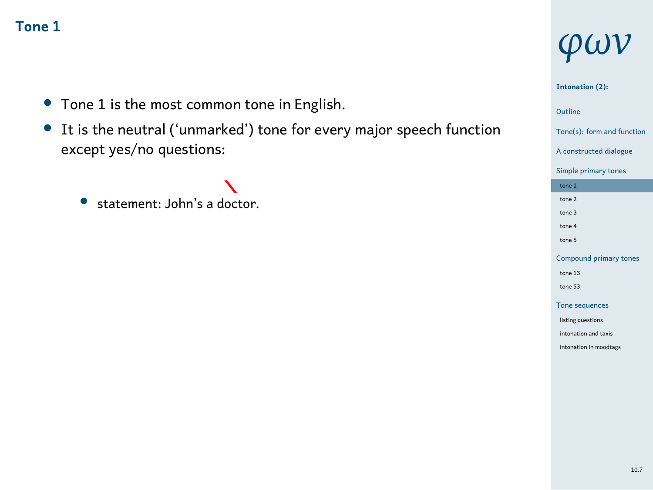- *•* Tone 1 is the most common tone in English.
- *•* It is the neutral ('unmarked') tone for every major speech function except yes/no questions:

• statement: John's a doctor.

# *φων*

#### **Intonation (2):**

1 Outline

### Tone(s): form and function

A constructed dialogue Simple primary tones tone 1 tone 2 tone 3 tone 4 tone 5 Compound prima tone 13 tone 53 Tone sequences

listing questions intonation and taxis intonation in moodtags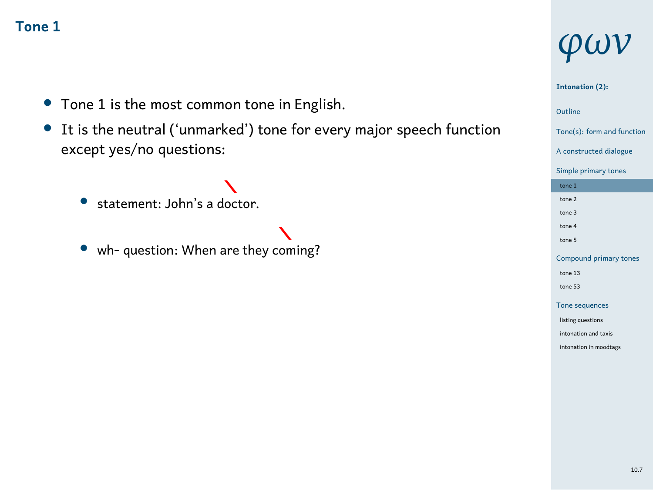- *•* Tone 1 is the most common tone in English.
- *•* It is the neutral ('unmarked') tone for every major speech function except yes/no questions:
	- statement: John's a doctor.
	- *•* wh- question: When are they coming?

# *φων*

#### **Intonation (2):**

### 1 Outline

#### Tone(s): form and function

A constructed dialogue Simple primary tones tone  $1$ tone 2 tone 3 tone 4 tone 5 Compound prim tone 13 tone 53 Tone sequences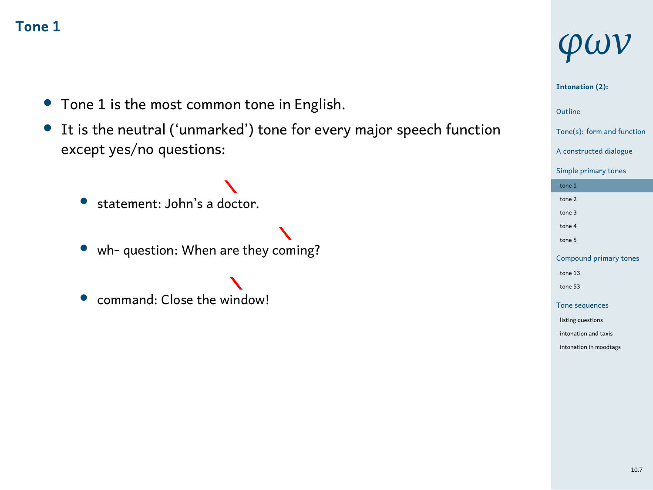- *•* Tone 1 is the most common tone in English.
- *•* It is the neutral ('unmarked') tone for every major speech function except yes/no questions:
	- statement: John's a doctor.
	-
	- *•* wh- question: When are they coming?
	- command: Close the window!

# *φων*

#### **Intonation (2):**

### 1 Outline

- Tone(s): form and function
- A constructed dialogue Simple primary tones tone 1
- tone 3 tone 4 tone 5

tone 2

- Compound prim tone 13
- tone 53
- Tone seque listing questions
- intonation and taxis intonation in moodtags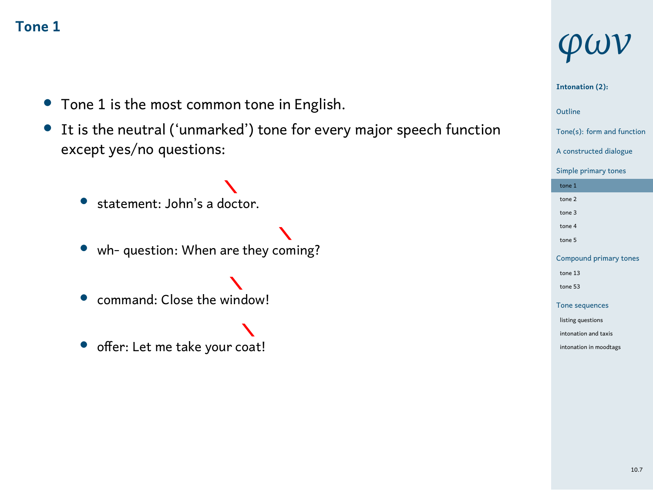- *•* Tone 1 is the most common tone in English.
- *•* It is the neutral ('unmarked') tone for every major speech function except yes/no questions:
	- statement: John's a doctor.
	- *•* wh- question: When are they coming?
	- command: Close the window!
	-
	- $\boldsymbol{\lambda}$ *•* offer: Let me take your coat!

# *φων*

#### **Intonation (2):**

- Tone(s): form and function
- A constructed dialogue Simple primary tones
- tone 1 tone 2
- tone 3 tone 4
- tone 5 Compound prim
- tone 13 tone 53
- Tone sequ listing questions
- into<br>into and taxis intonation in moodta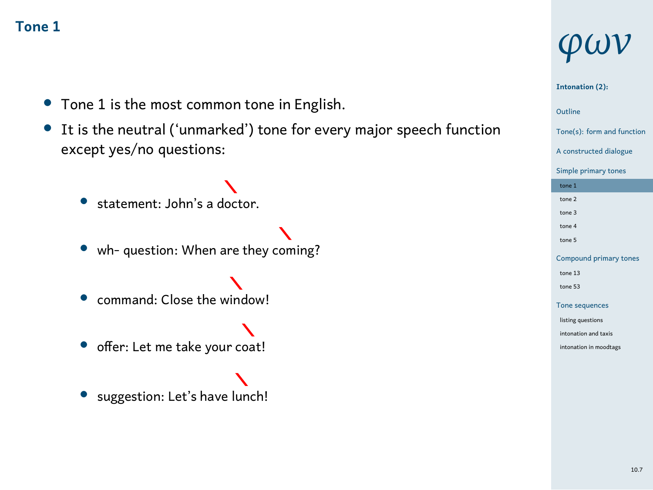- *•* Tone 1 is the most common tone in English.
- *•* It is the neutral ('unmarked') tone for every major speech function except yes/no questions:
	- statement: John's a doctor.
	- *•* wh- question: When are they coming?
	- command: Close the window!
	-
	- *•* offer: Let me take your coat!
	- *•* suggestion: Let's have lunch!

# *φων*

#### **Intonation (2):**

### 1 Outline

### Tone(s): form and function

A constructed dialogue Simple primary tones tone 1 tone 2 tone 3 tone 4 tone 5 Compound prim tone 13 tone 53 Tone sequ listing questions .<br>nation and taxis intonation in moodta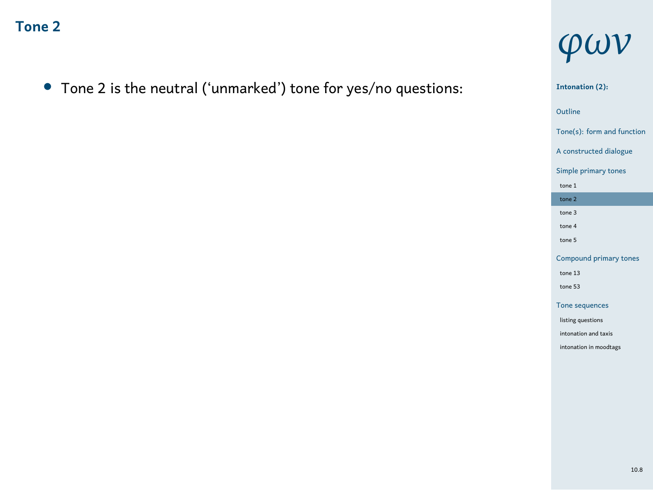*•* Tone 2 is the neutral ('unmarked') tone for yes/no questions:



1 Outline **Intonation (2):** Tone(s): form and function A constructed dialogue Simple primary tones tone 1 tone 2 tone 3 tone 4 tone 5 Compound primary tones tone 13 tone 53 Tone sequences listing questions intonation and taxis intonation in moodtags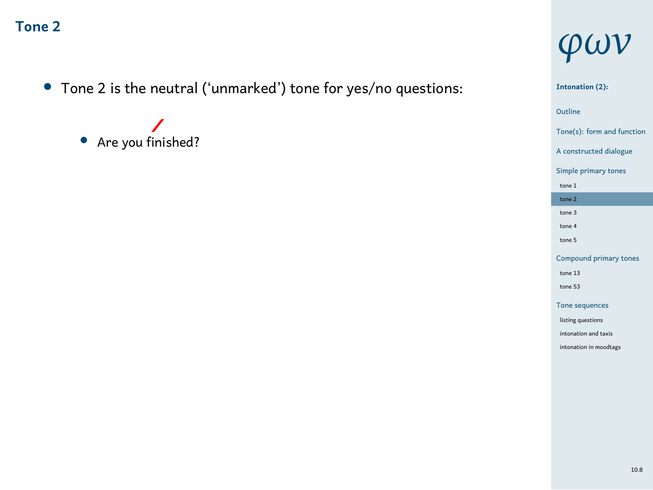- *•* Tone 2 is the neutral ('unmarked') tone for yes/no questions:
	- *•* Are you finished?

# *φων*

Outline<br>Tone(s): form and function **Intonation (2):** Outline A constructed dialogue Simple primary tones tone 1 tone 2 tone 3 tone 4 tone 5 Compound primary tones tone 13 tone 53 Tone sequences listing questions intonation and taxis intonation in moodtags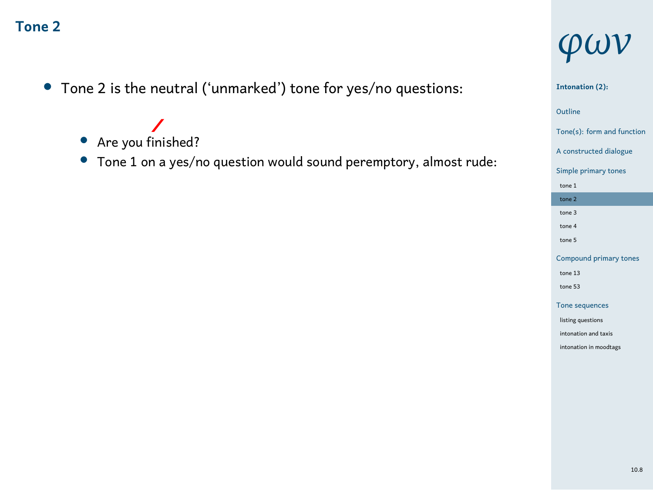- *•* Tone 2 is the neutral ('unmarked') tone for yes/no questions:
	- *•* Are you finished?
	- *•* Tone 1 on a yes/no question would sound peremptory, almost rude:



**Intonation (2):**

### 1 Outline Tone(s): form and function A constructed dialogue Simple primary tones tone 1 tone 2 tone 3 tone 4 tone 5 Compound primary tones tone 13 tone 53 Tone sequences listing questions intonation and taxis intonation in moodtags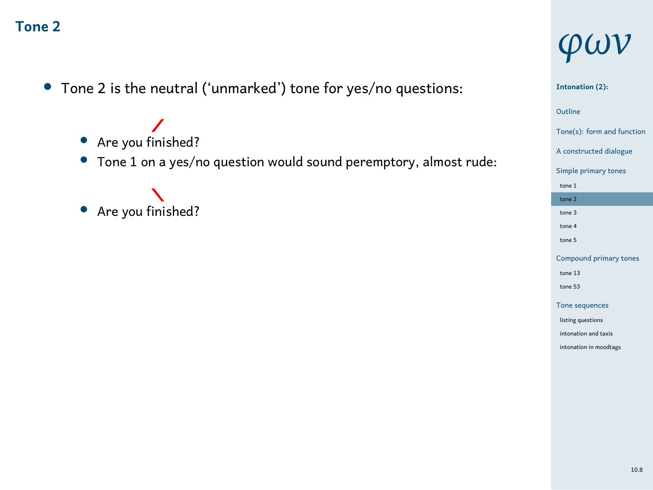- *•* Tone 2 is the neutral ('unmarked') tone for yes/no questions:
	- *•* Are you finished?
	- *•* Tone 1 on a yes/no question would sound peremptory, almost rude:
	- *•* Are you finished?

# *φων*

#### 1 Outline **Intonation (2):** Tone(s): form and function A constructed dialogue Simple primary tones tone 1 tone 2

tone 3 tone 4 tone 5 Compound prim tone 13 tone 53 Tone seque listing questions intonation and taxis intonation in moodtags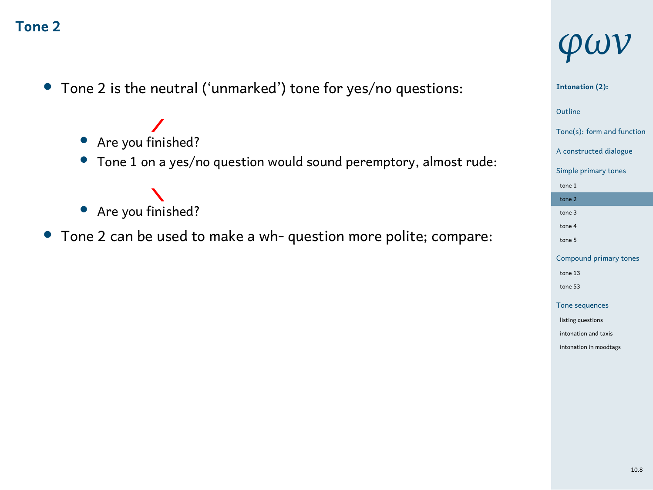- *•* Tone 2 is the neutral ('unmarked') tone for yes/no questions:
	- *•* Are you finished?
	- *•* Tone 1 on a yes/no question would sound peremptory, almost rude:
	- *•* Are you finished?
- *•* Tone 2 can be used to make a wh- question more polite; compare:

# *φων*

# **Intonation (2):**

### 1 Outline

Tone(s): form and function A constructed dialogue Simple primary tones tone 1 tone 2 tone 3 tone 4 tone 5 Compound pri tone 13 tone 53 Tone sequ listing questions intonation and taxis intonation in moodtags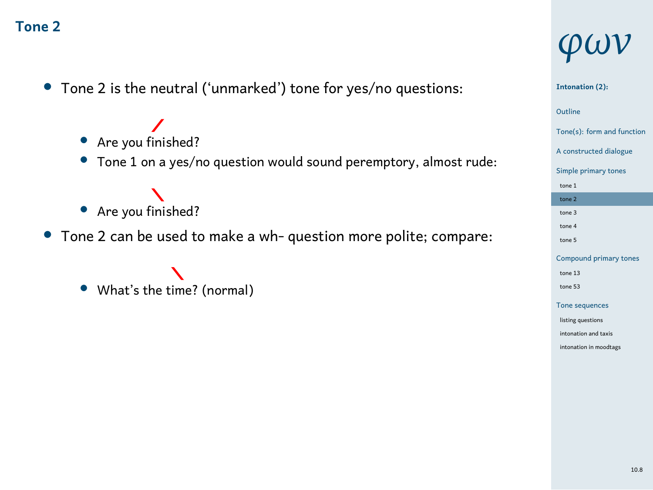- *•* Tone 2 is the neutral ('unmarked') tone for yes/no questions:
	- *•* Are you finished?
	- *•* Tone 1 on a yes/no question would sound peremptory, almost rude:
	- *•* Are you finished?
- *•* Tone 2 can be used to make a wh- question more polite; compare:
	- $\boldsymbol{\lambda}$ *•* What's the time? (normal)

# *φων*

### **Intonation (2):**

- Tone(s): form and function
- A constructed dialogue
- Simple primary to
- tone 1 tone 2
- tone 3 tone 4
- tone 5 Compound prin
- tone 13 tone 53
- Tone sequ
- listing questions intonation and taxis intonation in moodtags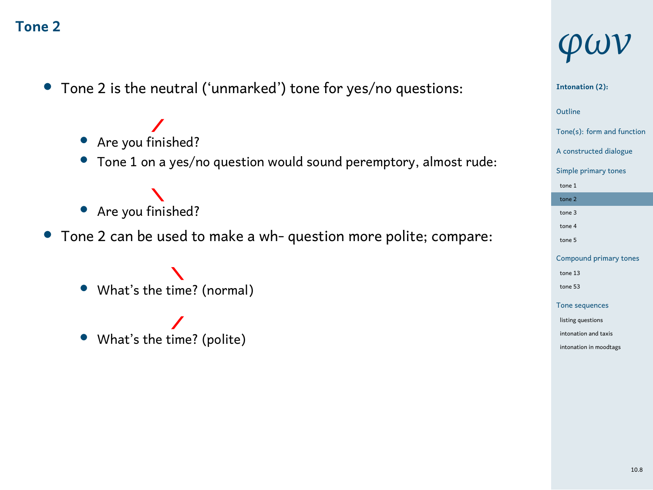- *•* Tone 2 is the neutral ('unmarked') tone for yes/no questions:
	- *•* Are you finished?
	- *•* Tone 1 on a yes/no question would sound peremptory, almost rude:
	- *•* Are you finished?
- *•* Tone 2 can be used to make a wh- question more polite; compare:
	- ╲ *•* What's the time? (normal)
	- What's the time? (polite)

# *φων*

#### **Intonation (2):**

- Tone(s): form and function
- A constructed dialogue
- Simple primary to
- tone 1 tone 2
- tone 3 tone 4
- tone 5
- Compound pri tone 13
- tone 53 Tone sequ
- listing questions
- intonation and taxis intonation in moodtags
	- 10.8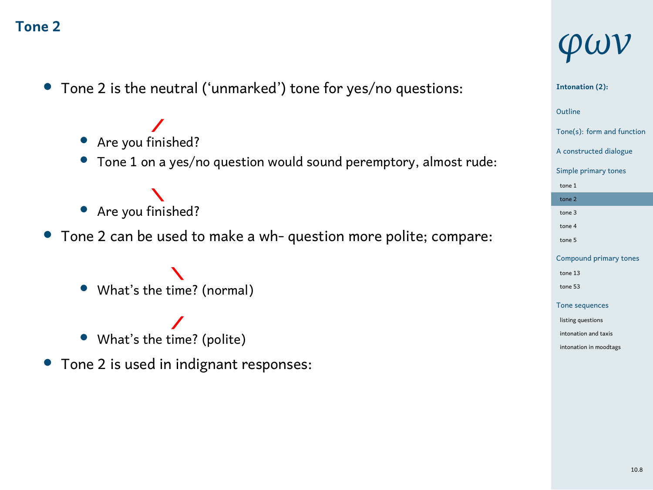- *•* Tone 2 is the neutral ('unmarked') tone for yes/no questions:
	- *•* Are you finished?
	- *•* Tone 1 on a yes/no question would sound peremptory, almost rude:
	- *•* Are you finished?
- *•* Tone 2 can be used to make a wh- question more polite; compare:
	- ╲ *•* What's the time? (normal)
	- What's the time? (polite)
- *•* Tone 2 is used in indignant responses:

# *φων*

#### **Intonation (2):**

- Tone(s): form and function
- A constructed dialogue
- Simple primary to tone 1
- tone 2
- tone 3 tone 4
- tone 5
- Compound prin tone 13
- tone 53 Tone sequ
- listing questions
- intonation and taxis intonation in moodtags
	- 10.8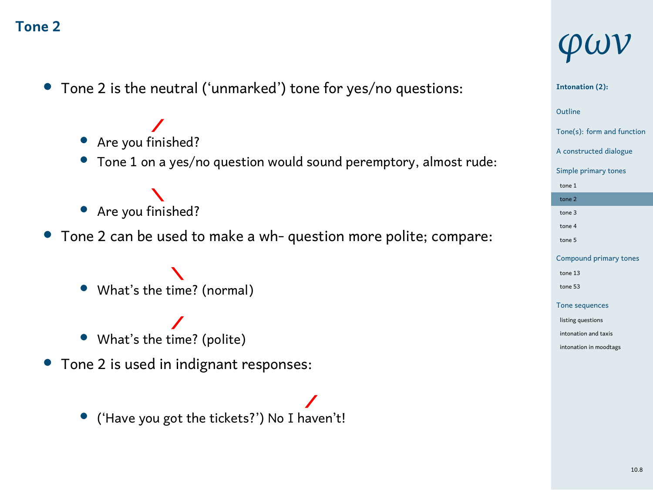- *•* Tone 2 is the neutral ('unmarked') tone for yes/no questions:
	- *•* Are you finished?
	- *•* Tone 1 on a yes/no question would sound peremptory, almost rude:
	- *•* Are you finished?
- *•* Tone 2 can be used to make a wh- question more polite; compare:
	- ╲ *•* What's the time? (normal)
	- What's the time? (polite)
- *•* Tone 2 is used in indignant responses:

*•* ('Have you got the tickets?') No I haven't!

# *φων*

# 1 Outline **Intonation (2):**

#### Tone(s): form and function A constructed dialogue Simple primary to tone 1 tone 2 tone 3 tone 4 tone 5 Compound pri tone 13 tone 53 Tone sequ

listing questions intonation and taxis intonation in moodtags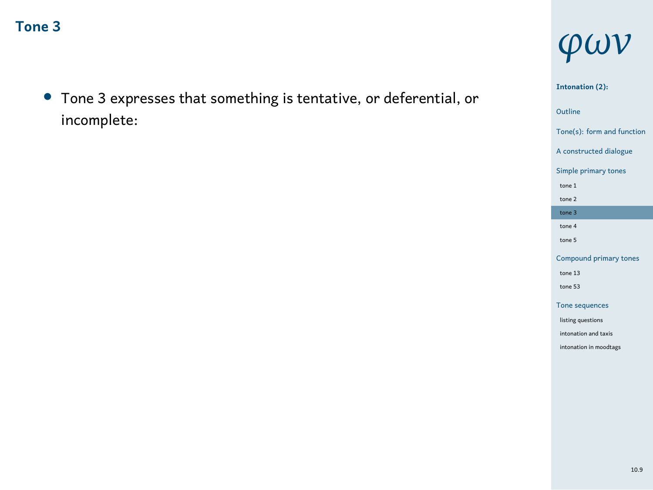*•* Tone 3 expresses that something is tentative, or deferential, or incomplete:

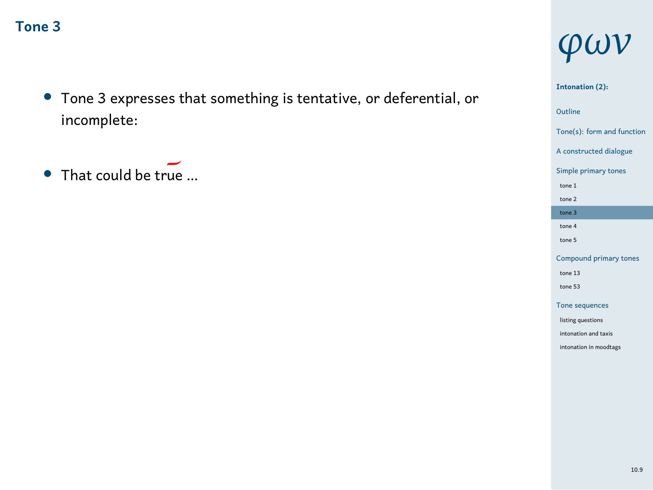- *•* Tone 3 expresses that something is tentative, or deferential, or incomplete:
- *•* That could be true …

# *φων*

**Intonation (2):**

# 1 Outline Tone(s): form and function A constructed dialogue Simple primary tones tone 1 tone 2 tone 3 tone 4 tone 5 Compound primary tones tone 13 tone 53 Tone sequences listing questions intonation and taxis intonation in moodtags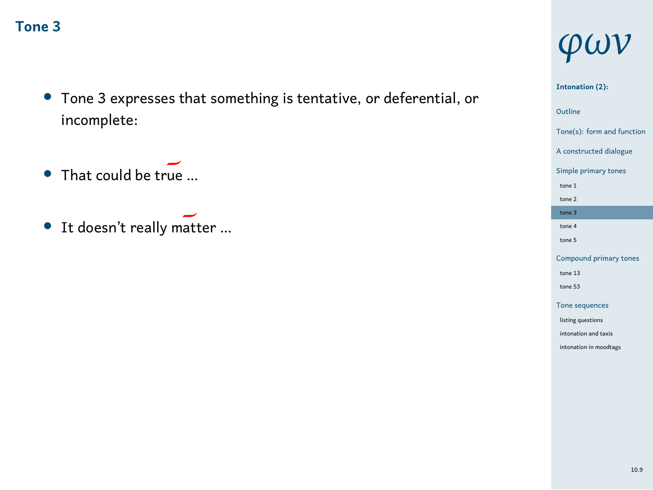- *•* Tone 3 expresses that something is tentative, or deferential, or incomplete:
- That could be true ...
- *•* It doesn't really matter …

# *φων*

**Intonation (2):**

# 1 Outline Tone(s): form and function A constructed dialogue Simple primary tones tone 1 tone 2 tone 3 tone 4 tone 5 Compound primary tones tone 13 tone 53 Tone sequences listing questions intonation and taxis intonation in moodtags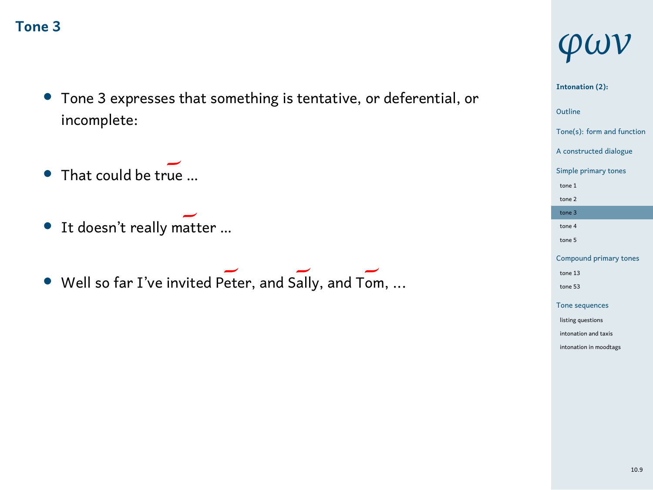- *•* Tone 3 expresses that something is tentative, or deferential, or incomplete:
- That could be true ...
- *•* It doesn't really matter …
- Well so far I've invited Peter, and Sally, and Tom, ...

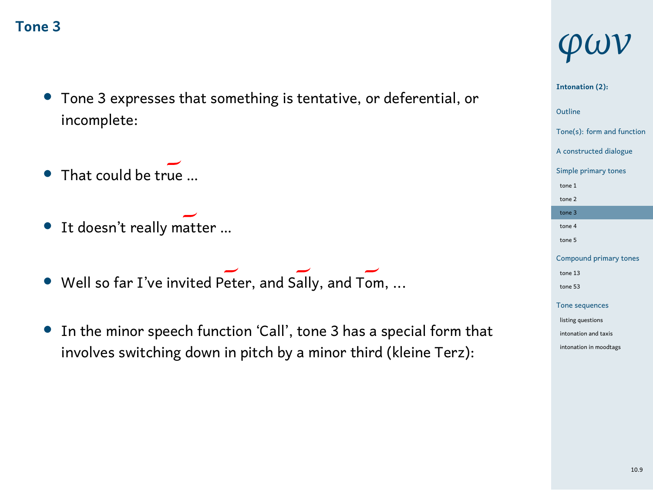- *•* Tone 3 expresses that something is tentative, or deferential, or incomplete:
- *•* That could be true …
- It doesn't really matter ...
- Well so far I've invited Peter, and Sally, and Tom, ...
- *•* In the minor speech function 'Call', tone 3 has a special form that involves switching down in pitch by a minor third (kleine Terz):

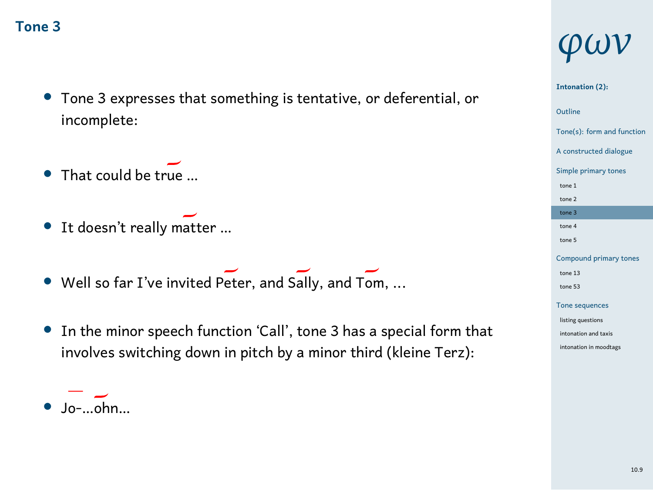- *•* Tone 3 expresses that something is tentative, or deferential, or incomplete:
- That could be true ...
- It doesn't really matter ...
- Well so far I've invited Peter, and Sally, and Tom, ...
- *•* In the minor speech function 'Call', tone 3 has a special form that involves switching down in pitch by a minor third (kleine Terz):



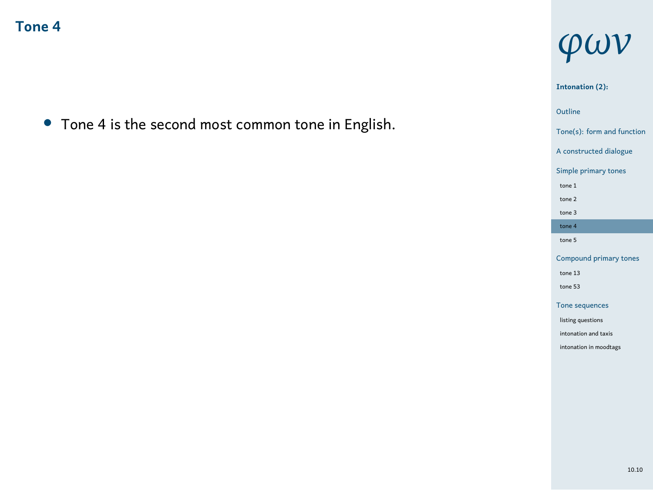*•* Tone 4 is the second most common tone in English.



**Intonation (2):**

1 Outline Tone(s): form and function A constructed dialogue Simple primary tones tone 1 tone 2 tone 3 tone 4 tone 5 Compound primary tones tone 13 tone 53 Tone sequences listing questions intonation and taxis intonation in moodtags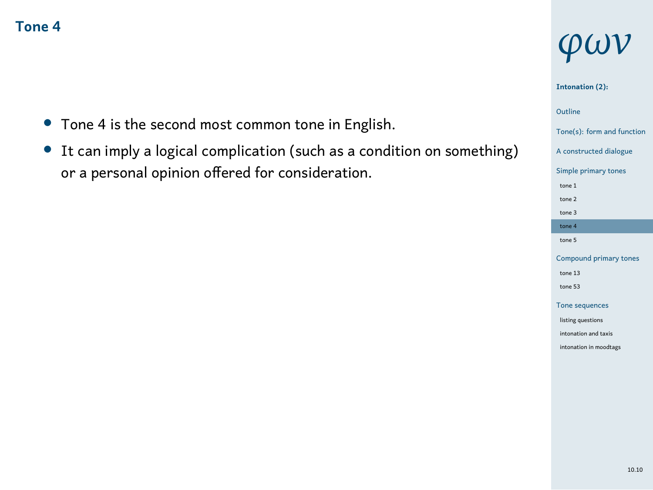- *•* Tone 4 is the second most common tone in English.
- *•* It can imply a logical complication (such as a condition on something) or a personal opinion offered for consideration.

# *φων*

#### **Intonation (2):**

- Tone(s): form and function A constructed dialogue
- Simple primary tones tone 1 tone 2 tone 3 tone  $4$
- tone 5 Compound prima
- tone 13 tone 53 Tone sequences
- listing questions intonation and taxis intonation in moodtags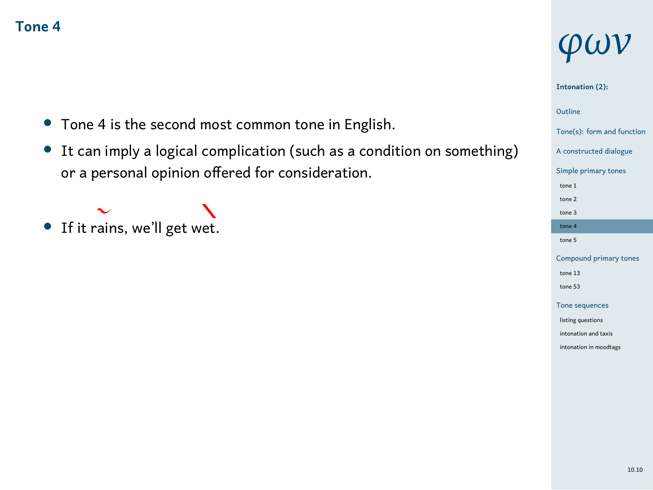- *•* Tone 4 is the second most common tone in English.
- *•* It can imply a logical complication (such as a condition on something) or a personal opinion offered for consideration.

### $\ddot{\sim}$ • If it rains, we'll get wet.

# *φων*

#### **Intonation (2):**

### 1 Outline

#### Tone(s): form and function

A constructed dialogue Simple primary tones tone 1 tone 2 tone 3 tone 4 tone 5 Compound prima tone 13 tone 53 Tone sequences

listing questions intonation and taxis intonation in moodtags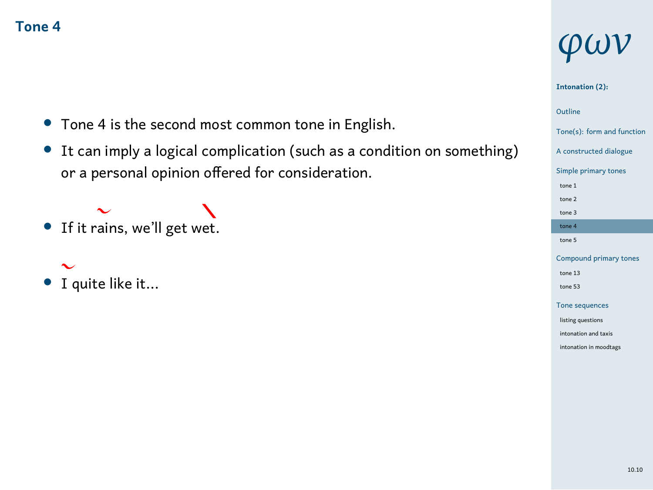- *•* Tone 4 is the second most common tone in English.
- *•* It can imply a logical complication (such as a condition on something) or a personal opinion offered for consideration.

### $\ddot{\sim}$ • If it rains, we'll get wet.

# *•* I quite like it...

*φων*

#### **Intonation (2):**

### 1 Outline

- Tone(s): form and function
- A constructed dialogue
- Simple primary tones
- tone 1 tone 2 tone 3
- tone 4
- tone 5 Compound prim
- tone 13 tone 53
- Tone seque listing questions intonation and taxis intonation in moodtags

#### 10.10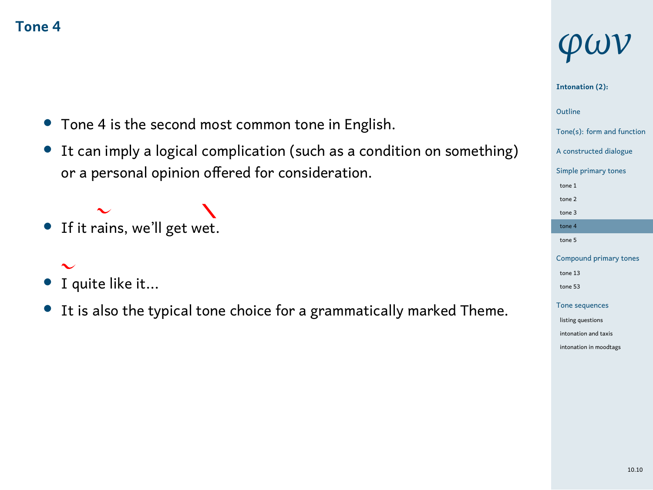- *•* Tone 4 is the second most common tone in English.
- *•* It can imply a logical complication (such as a condition on something) or a personal opinion offered for consideration.

### $\ddot{\sim}$ • If it rains, we'll get wet.

# *•* I quite like it...

*•* It is also the typical tone choice for a grammatically marked Theme.

# *φων*

#### **Intonation (2):**

### 1 Outline

- Tone(s): form and function
- A constructed dialogue
- Simple primary to
- tone 1 tone 2 tone 3
- tone 4 tone 5
- Compound pr
- tone 13 tone 53
- Tone seq listing questions
- nation and taxis intonation in moodta

#### 10.10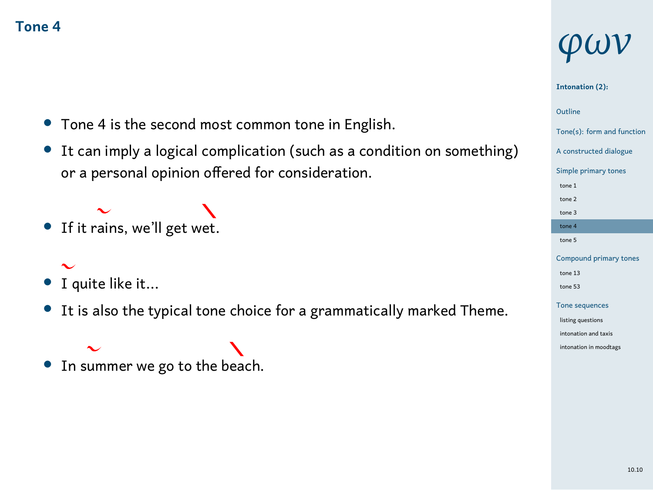- *•* Tone 4 is the second most common tone in English.
- *•* It can imply a logical complication (such as a condition on something) or a personal opinion offered for consideration.

#### $\ddot{\phantom{0}}$ • If it rains, we'll get wet.

- *•* I quite like it...
- *•* It is also the typical tone choice for a grammatically marked Theme.

#### • In summer we go to the beach.  $\ddot{\phantom{0}}$

# *φων*

#### **Intonation (2):**

### 1 Outline

#### Tone(s): form and function

- A constructed dialogue Simple primary to tone 1 tone 2 tone 3
- tone 4 tone 5
- Compound pr tone 13 tone 53
- Tone seq listing questions
- intonation and taxis intonation in moodta
	- 10.10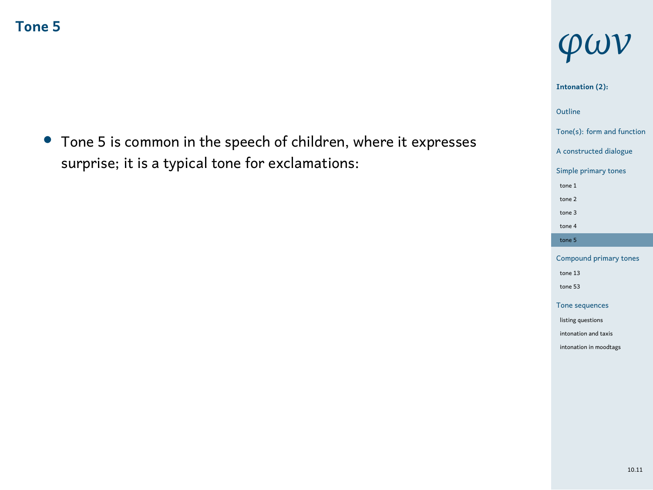*•* Tone 5 is common in the speech of children, where it expresses surprise; it is a typical tone for exclamations:

# *φων*

#### **Intonation (2):**

### 1 Outline

Tone(s): form and function

## A constructed dialogue Simple primary tones

tone 1 tone 2 tone 3 tone 4 tone 5

### Compound primary tones tone 13 tone 53 Tone sequences

listing questions intonation and taxis intonation in moodtags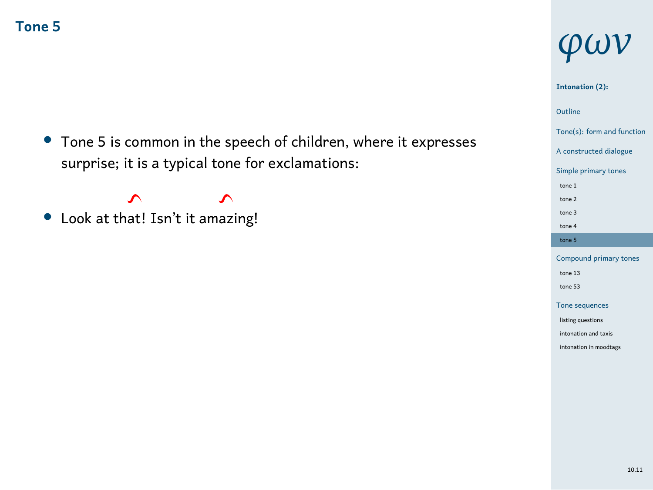*•* Tone 5 is common in the speech of children, where it expresses surprise; it is a typical tone for exclamations:

 $\boldsymbol{\gamma}$  $\blacktriangle$ *•* Look at that! Isn't it amazing!

# *φων*

**Intonation (2):**

1 Outline

Tone(s): form and function A constructed dialogue Simple primary tones

tone 1 tone 2 tone 3 tone 4 tone 5

Compound primary tor tone 13 tone 53 Tone sequences listing questions intonation and taxis intonation in moodtags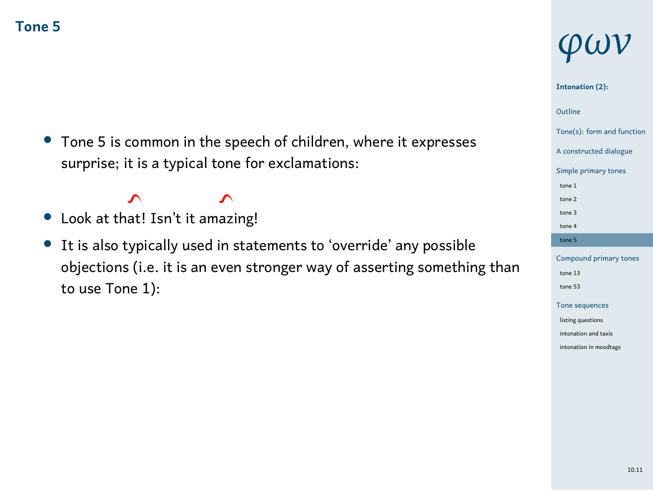*•* Tone 5 is common in the speech of children, where it expresses surprise; it is a typical tone for exclamations:

#### $\mathbf{\hat{z}}$  $\mathbf{\hat{z}}$

- *•* Look at that! Isn't it amazing!
- *•* It is also typically used in statements to 'override' any possible objections (i.e. it is an even stronger way of asserting something than to use Tone 1):

# *φων*

#### **Intonation (2):**

### 1 Outline

Tone(s): form and function

#### A constructed dialogue Simple primary tones

tone 1 tone 2 tone 3 tone 4

tone 5

#### Compound primary to tone 13 tone 53 Tone sequences

listing questions intonation and taxis intonation in moodtags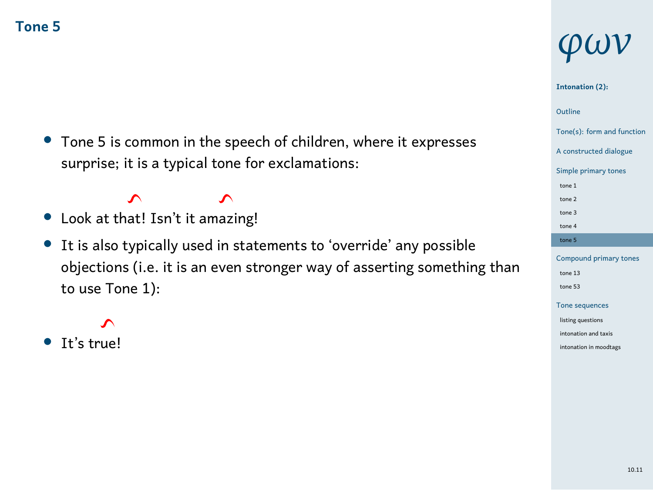*•* Tone 5 is common in the speech of children, where it expresses surprise; it is a typical tone for exclamations:

#### $\mathbf{\hat{z}}$  $\mathbf{\hat{z}}$ *•* Look at that! Isn't it amazing!

- *•* It is also typically used in statements to 'override' any possible
- objections (i.e. it is an even stronger way of asserting something than to use Tone 1):

 $\lambda$ 

*•* It's true!

# *φων*

#### **Intonation (2):**

# 1 Outline

#### Tone(s): form and function

## A constructed dialogue Simple primary tones

### tone 1 tone 2 tone 3 tone 4 tone 5

### Compound primary to tone 13 tone 53 Tone sequences listing questions intonation and taxis intonation in moodtags

#### 10.11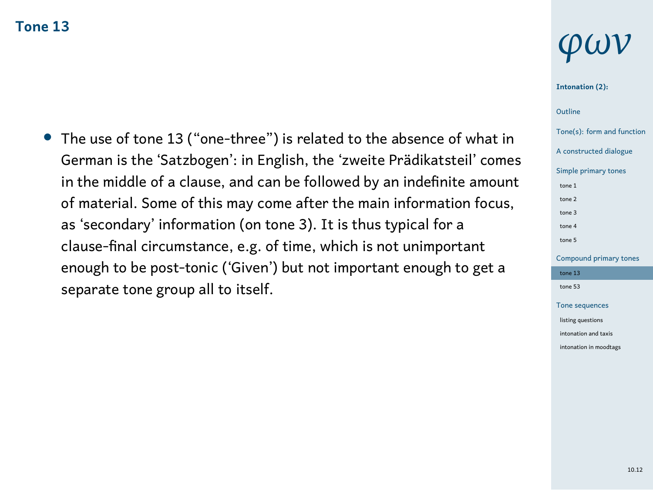*•* The use of tone 13 ("one-three") is related to the absence of what in German is the 'Satzbogen': in English, the 'zweite Prädikatsteil' comes in the middle of a clause, and can be followed by an indefinite amount of material. Some of this may come after the main information focus, as 'secondary' information (on tone 3). It is thus typical for a clause-final circumstance, e.g. of time, which is not unimportant enough to be post-tonic ('Given') but not important enough to get a separate tone group all to itself.

# *φων*

#### **Intonation (2):**

### 1 Outline

Tone(s): form and function A constructed dialogue Simple primary tones tone 1 tone 2 tone 3 tone 4 tone 5 Compound primary tones tone 13  $\pm$ tone 53

Tone sequences listing questions into<br>into and taxis intonation in moodtags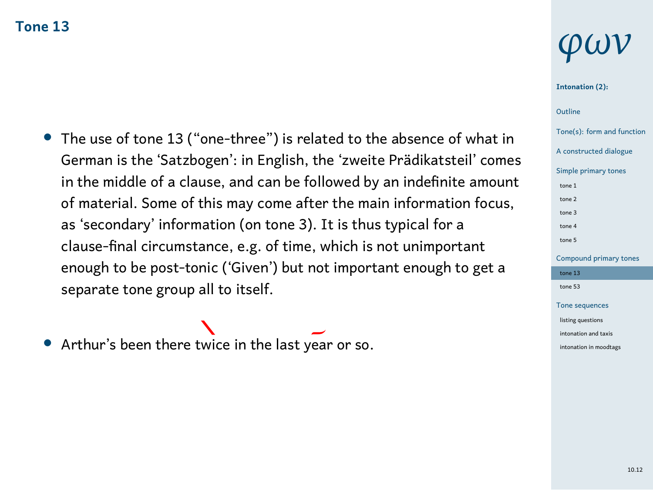- *•* The use of tone 13 ("one-three") is related to the absence of what in German is the 'Satzbogen': in English, the 'zweite Prädikatsteil' comes in the middle of a clause, and can be followed by an indefinite amount of material. Some of this may come after the main information focus, as 'secondary' information (on tone 3). It is thus typical for a clause-final circumstance, e.g. of time, which is not unimportant enough to be post-tonic ('Given') but not important enough to get a separate tone group all to itself.
- *•* Arthur's been there twice in the last year or so.

# *φων*

#### **Intonation (2):**

### 1 Outline

#### Tone(s): form and function

A constructed dialogue Simple primary tones tone 1 tone 2 tone 3 tone 4 tone 5 Compound primary tones tone 13 tone 53 Tone sequences

listing questions .<br>nation and taxis intonation in moodtag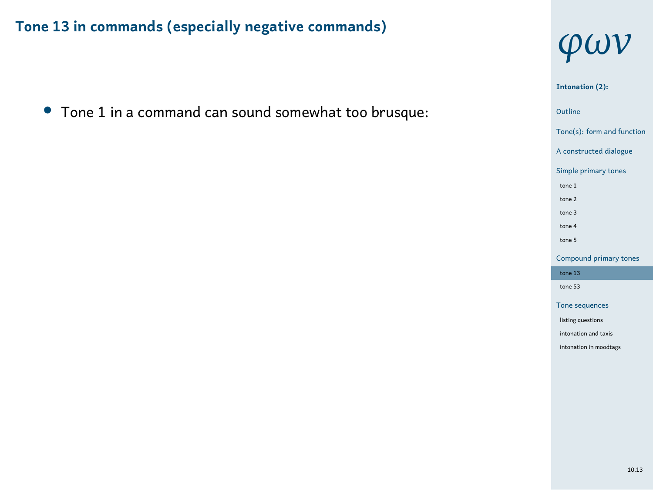*•* Tone 1 in a command can sound somewhat too brusque:



1 Outline Tone(s): form and function A constructed dialogue Simple primary tones tone 1 tone 2 tone 3 tone 4 tone 5 Compound primary tones tone 13 tone 53 Tone sequences listing questions intonation and taxis intonation in moodtags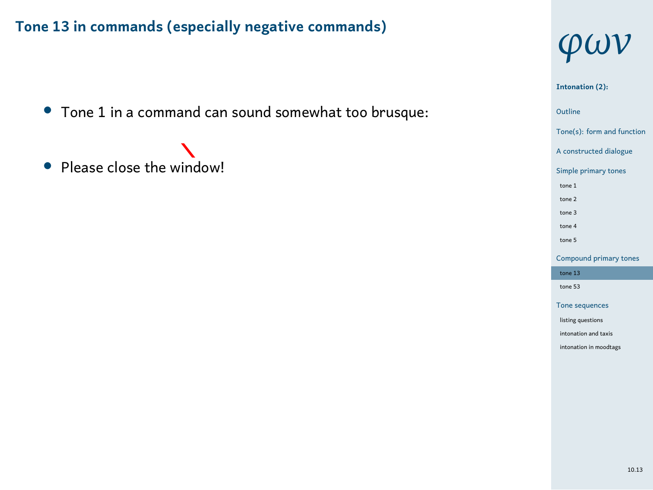- *•* Tone 1 in a command can sound somewhat too brusque:
- *•* Please close the window!



**Intonation (2):**

1 Outline Tone(s): form and function A constructed dialogue Simple primary tones tone 1 tone 2 tone 3 tone 4 tone 5 Compound primary tones tone 13 tone 53 Tone sequences listing questions intonation and taxis intonation in moodtags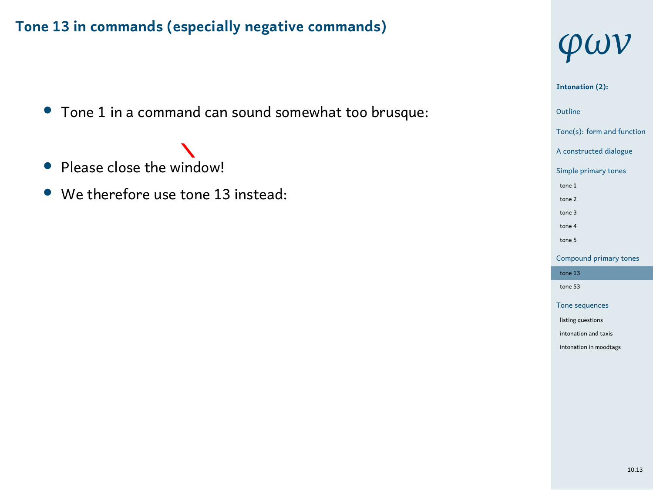*•* Tone 1 in a command can sound somewhat too brusque:

# • Please close the window!

*•* We therefore use tone 13 instead:



1 Outline **Intonation (2):** Tone(s): form and function A constructed dialogue Simple primary tones tone 1 tone 2 tone 3 tone 4 tone 5 Compound primary tones tone 13 tone 53 Tone sequences listing questions intonation and taxis intonation in moodtags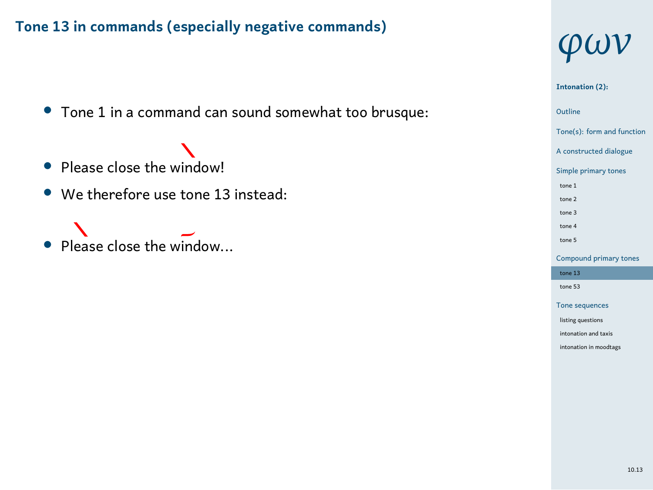*•* Tone 1 in a command can sound somewhat too brusque:

# • Please close the window!

- *•* We therefore use tone 13 instead:
- Please close the window...



**Intonation (2):**

1 Outline Tone(s): form and function

A constructed dialogue Simple primary tones

tone 1 tone 2 tone 3 tone 4 tone 5

Compound primary tones tone 13 tone 53 Tone sequences listing questions intonation and taxis intonation in moodtags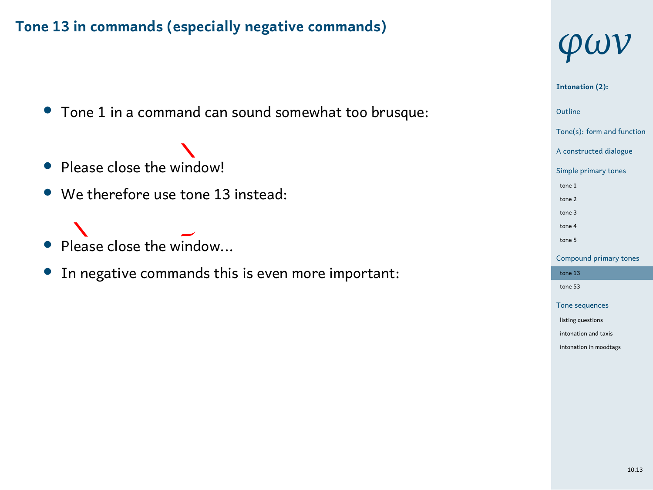*•* Tone 1 in a command can sound somewhat too brusque:

- Please close the window!
- *•* We therefore use tone 13 instead:
- Please close the window...
- *•* In negative commands this is even more important:



#### **Intonation (2):**

Outline<br>Tone(s): form and function Outline

A constructed dialogue

Simple primary tones

tone 1 tone 2 tone 3 tone 4 tone 5

Compound primary tones tone 13  $^{\circ}$ tone 53 Tone sequences

listing questions intonation and taxis intonation in moodtags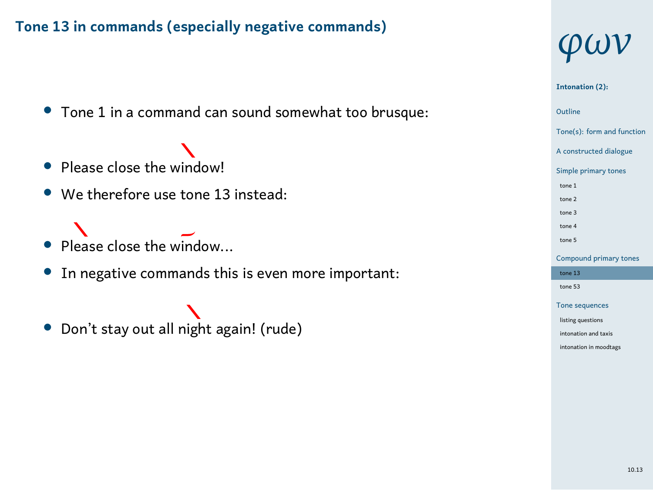*•* Tone 1 in a command can sound somewhat too brusque:

# • Please close the window!

- *•* We therefore use tone 13 instead:
- N • Please close the window...
- *•* In negative commands this is even more important:
- *•* Don't stay out all night again! (rude)



# **Intonation (2):**

1 Outline Tone(s): form and function A constructed dialogue Simple primary tones tone 1 tone 2 tone 3 tone 4 tone 5 Compound primary tor tone  $13$ 

# tone 53 Tone seque listing questions intonation and taxis intonation in moodtags

10.13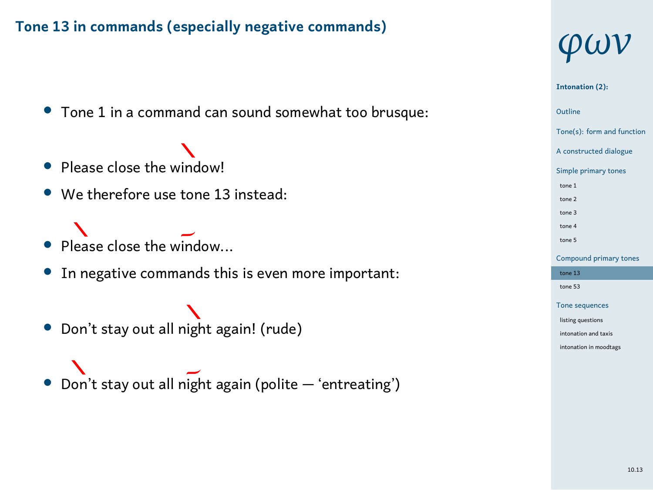*•* Tone 1 in a command can sound somewhat too brusque:

# • Please close the window!

- *•* We therefore use tone 13 instead:
- N • Please close the window...
- *•* In negative commands this is even more important:
- *•* Don't stay out all night again! (rude)
- *•* Don't stay out all night again (polite 'entreating')



#### 1 Outline Tone(s): form and function A constructed dialogue Simple primary to tone 1 tone 2 tone 3 tone 4 tone 5 Compound primary to tone 13  $\,$ tone 53 Tone seq listing questions into<br>into and taxis intonation in moodta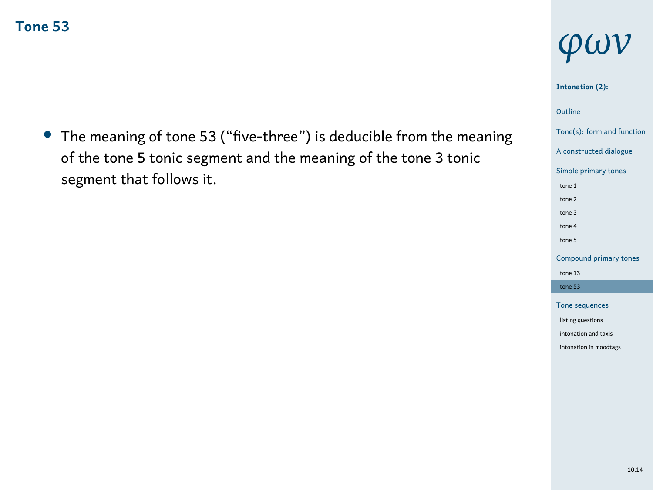*•* The meaning of tone 53 ("five-three") is deducible from the meaning of the tone 5 tonic segment and the meaning of the tone 3 tonic segment that follows it.

# *φων*

#### **Intonation (2):**

### 1 Outline

### Tone(s): form and function A constructed dialogue

Simple primary tones tone 1 tone 2 tone 3 tone 4 tone 5 Compound primary tor tone 13 tone 53 Tone sequences

listing questions intonation and taxis intonation in moodtags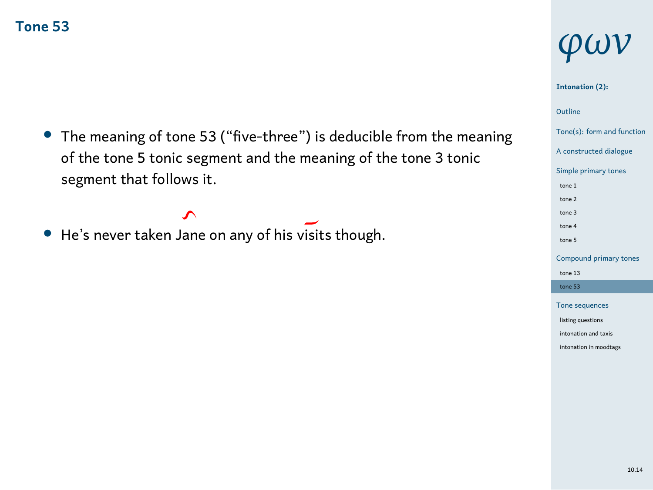*•* The meaning of tone 53 ("five-three") is deducible from the meaning of the tone 5 tonic segment and the meaning of the tone 3 tonic segment that follows it.

#### $\hat{\mathcal{L}}$ • He's never taken Jane on any of his visits though.

# *φων*

#### **Intonation (2):**

### 1 Outline

### Tone(s): form and function

A constructed dialogue Simple primary tones tone 1 tone 2 tone 3 tone 4 tone 5 Compound primary to tone 13 tone 53 Tone sequences listing questions intonation and taxis intonation in moodtags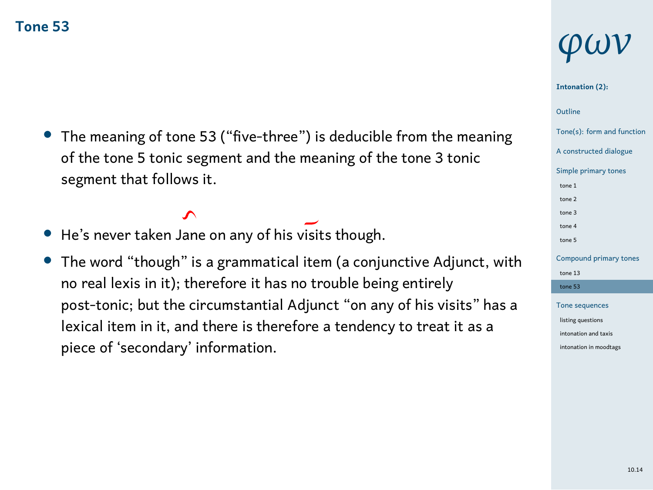*•* The meaning of tone 53 ("five-three") is deducible from the meaning of the tone 5 tonic segment and the meaning of the tone 3 tonic segment that follows it.

 $\mathbf{\hat{z}}$ 

- *•* He's never taken Jane on any of his visits though.
- *•* The word "though" is a grammatical item (a conjunctive Adjunct, with no real lexis in it); therefore it has no trouble being entirely post-tonic; but the circumstantial Adjunct "on any of his visits" has a lexical item in it, and there is therefore a tendency to treat it as a piece of 'secondary' information.

# *φων*

#### **Intonation (2):**

### 1 Outline

#### Tone(s): form and function

A constructed dialogue Simple primary tones tone 1 tone 2 tone 3 tone 4 tone 5 Compound primary t

#### tone 13 tone 53

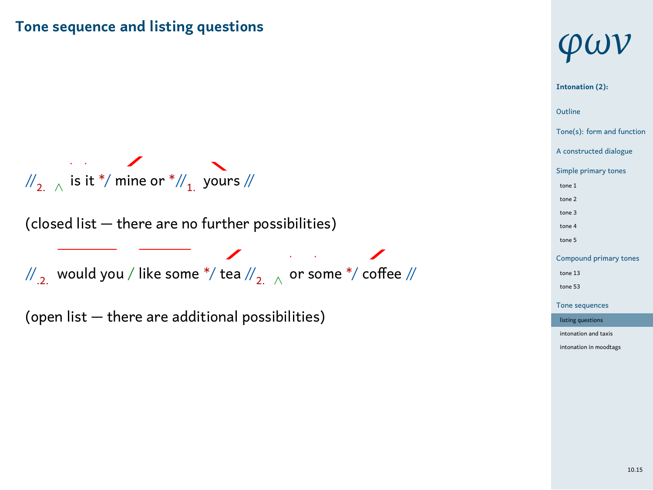### **Tone sequence and listing questions**

 $\mathbb{W}_{2,-\wedge}$  is it  $^*/$  mine or  $^*/\!/_{1}$  yours  $\mathbb{W}$ 

(closed list — there are no further possibilities)

//.2. would you / like some \*/ tea //2. *<sup>∧</sup>* or some \*/ coffee //

(open list — there are additional possibilities)



**Intonation (2):**

1 Outline Tone(s): form and function A constructed dialogue Simple primary to tone 1 tone 2 tone 3 tone 4 tone 5 Compo tone 13 tone 53 Tone sequences listing questions intonation and taxis intonation in moodtags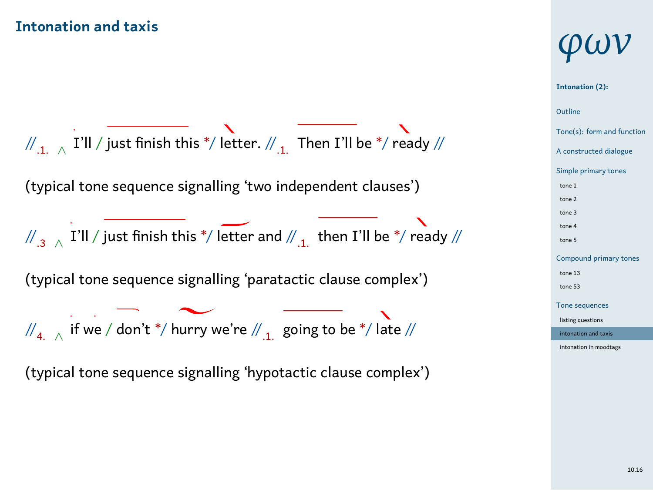#### **Intonation and taxis**

 $\mathcal{W}_{\mathbf{1},\mathbb{Z}}$   $\overline{\mathsf{\Gamma}}$  I'll  $\mathbb{/}$  just finish this  $^{\ast}\mathbb{/}$  letter.  $\mathbb{/\!}_{\mathbf{1},\mathbb{Z}}$  Then I'll be  $^{\ast}\mathbb{/}$  ready  $\mathbb{/\!}/$ (typical tone sequence signalling 'two independent clauses')  $\mathcal{N}_{.3}$  ∧  $\,$  I'll  $\mathcal{N}$  just finish this  $^{\ast}\mathcal{N}$  letter and  $\mathcal{N}_{.1.}\,$  then I'll be  $^{\ast}\mathcal{N}$  ready  $\mathcal{N}$ (typical tone sequence signalling 'paratactic clause complex') //<sub>4. ∧</sub> if we / don't \*/ hurry we're //<sub>.1.</sub> going to be \*/ late // (typical tone sequence signalling 'hypotactic clause complex')

# *φων*

#### ne **Intonation (2): Outline** Tone(s): form and function .<br>And dial Simple primary tones tone 1 tone 2 tone 3 tone 4 tone 5 Comp tone 13 tone 53 Tone sequences listing questions intonation and taxis intonation in moodtags